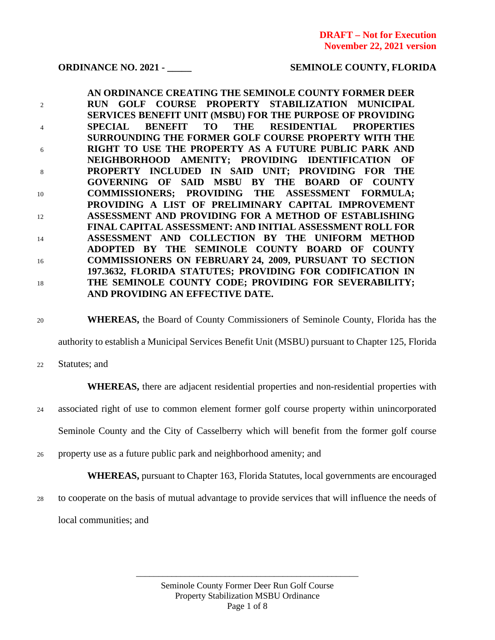### **ORDINANCE NO. 2021 - \_\_\_\_\_ SEMINOLE COUNTY, FLORIDA**

**AN ORDINANCE CREATING THE SEMINOLE COUNTY FORMER DEER**  <sup>2</sup> **RUN GOLF COURSE PROPERTY STABILIZATION MUNICIPAL SERVICES BENEFIT UNIT (MSBU) FOR THE PURPOSE OF PROVIDING** <sup>4</sup> **SPECIAL BENEFIT TO THE RESIDENTIAL PROPERTIES SURROUNDING THE FORMER GOLF COURSE PROPERTY WITH THE**  <sup>6</sup> **RIGHT TO USE THE PROPERTY AS A FUTURE PUBLIC PARK AND NEIGHBORHOOD AMENITY; PROVIDING IDENTIFICATION OF** <sup>8</sup> **PROPERTY INCLUDED IN SAID UNIT; PROVIDING FOR THE GOVERNING OF SAID MSBU BY THE BOARD OF COUNTY** <sup>10</sup> **COMMISSIONERS; PROVIDING THE ASSESSMENT FORMULA; PROVIDING A LIST OF PRELIMINARY CAPITAL IMPROVEMENT**  <sup>12</sup> **ASSESSMENT AND PROVIDING FOR A METHOD OF ESTABLISHING FINAL CAPITAL ASSESSMENT: AND INITIAL ASSESSMENT ROLL FOR**  <sup>14</sup> **ASSESSMENT AND COLLECTION BY THE UNIFORM METHOD ADOPTED BY THE SEMINOLE COUNTY BOARD OF COUNTY** <sup>16</sup> **COMMISSIONERS ON FEBRUARY 24, 2009, PURSUANT TO SECTION 197.3632, FLORIDA STATUTES; PROVIDING FOR CODIFICATION IN**  <sup>18</sup> **THE SEMINOLE COUNTY CODE; PROVIDING FOR SEVERABILITY; AND PROVIDING AN EFFECTIVE DATE.**

<sup>20</sup> **WHEREAS,** the Board of County Commissioners of Seminole County, Florida has the

authority to establish a Municipal Services Benefit Unit (MSBU) pursuant to Chapter 125, Florida

<sup>22</sup> Statutes; and

**WHEREAS,** there are adjacent residential properties and non-residential properties with

<sup>24</sup> associated right of use to common element former golf course property within unincorporated

Seminole County and the City of Casselberry which will benefit from the former golf course

<sup>26</sup> property use as a future public park and neighborhood amenity; and

**WHEREAS,** pursuant to Chapter 163, Florida Statutes, local governments are encouraged

<sup>28</sup> to cooperate on the basis of mutual advantage to provide services that will influence the needs of local communities; and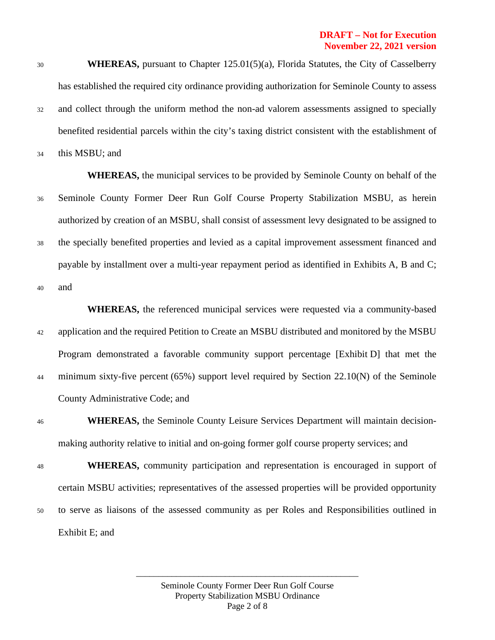<sup>30</sup> **WHEREAS,** pursuant to Chapter 125.01(5)(a), Florida Statutes, the City of Casselberry has established the required city ordinance providing authorization for Seminole County to assess <sup>32</sup> and collect through the uniform method the non-ad valorem assessments assigned to specially benefited residential parcels within the city's taxing district consistent with the establishment of

<sup>34</sup> this MSBU; and

**WHEREAS,** the municipal services to be provided by Seminole County on behalf of the <sup>36</sup> Seminole County Former Deer Run Golf Course Property Stabilization MSBU, as herein authorized by creation of an MSBU, shall consist of assessment levy designated to be assigned to <sup>38</sup> the specially benefited properties and levied as a capital improvement assessment financed and payable by installment over a multi-year repayment period as identified in Exhibits A, B and C; <sup>40</sup> and

**WHEREAS,** the referenced municipal services were requested via a community-based <sup>42</sup> application and the required Petition to Create an MSBU distributed and monitored by the MSBU Program demonstrated a favorable community support percentage [Exhibit D] that met the <sup>44</sup> minimum sixty-five percent (65%) support level required by Section 22.10(N) of the Seminole County Administrative Code; and

<sup>46</sup> **WHEREAS,** the Seminole County Leisure Services Department will maintain decisionmaking authority relative to initial and on-going former golf course property services; and

<sup>48</sup> **WHEREAS,** community participation and representation is encouraged in support of certain MSBU activities; representatives of the assessed properties will be provided opportunity <sup>50</sup> to serve as liaisons of the assessed community as per Roles and Responsibilities outlined in Exhibit E; and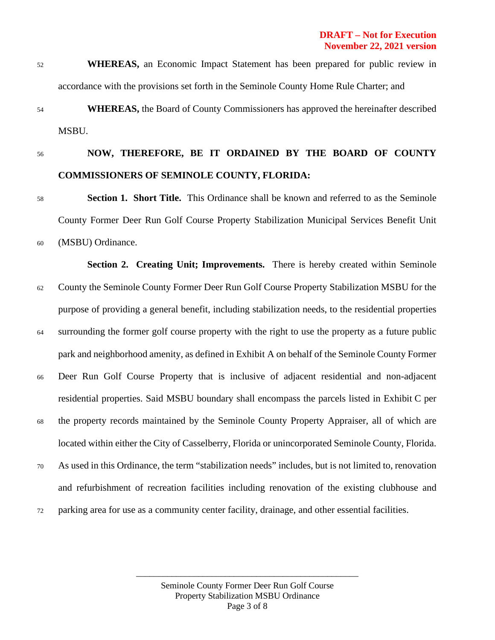- <sup>52</sup> **WHEREAS,** an Economic Impact Statement has been prepared for public review in accordance with the provisions set forth in the Seminole County Home Rule Charter; and
- <sup>54</sup> **WHEREAS,** the Board of County Commissioners has approved the hereinafter described MSBU.
- 

# <sup>56</sup> **NOW, THEREFORE, BE IT ORDAINED BY THE BOARD OF COUNTY COMMISSIONERS OF SEMINOLE COUNTY, FLORIDA:**

<sup>58</sup> **Section 1. Short Title.** This Ordinance shall be known and referred to as the Seminole County Former Deer Run Golf Course Property Stabilization Municipal Services Benefit Unit <sup>60</sup> (MSBU) Ordinance.

**Section 2. Creating Unit; Improvements.** There is hereby created within Seminole <sup>62</sup> County the Seminole County Former Deer Run Golf Course Property Stabilization MSBU for the purpose of providing a general benefit, including stabilization needs, to the residential properties <sup>64</sup> surrounding the former golf course property with the right to use the property as a future public park and neighborhood amenity, as defined in Exhibit A on behalf of the Seminole County Former <sup>66</sup> Deer Run Golf Course Property that is inclusive of adjacent residential and non-adjacent residential properties. Said MSBU boundary shall encompass the parcels listed in Exhibit C per <sup>68</sup> the property records maintained by the Seminole County Property Appraiser, all of which are located within either the City of Casselberry, Florida or unincorporated Seminole County, Florida. <sup>70</sup> As used in this Ordinance, the term "stabilization needs" includes, but is not limited to, renovation and refurbishment of recreation facilities including renovation of the existing clubhouse and <sup>72</sup> parking area for use as a community center facility, drainage, and other essential facilities.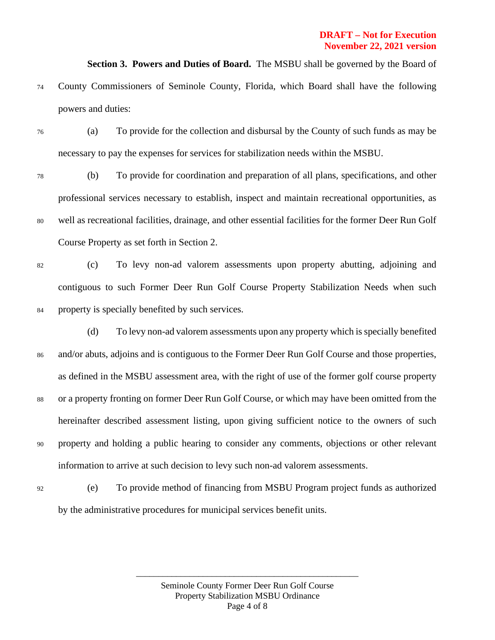**Section 3. Powers and Duties of Board.** The MSBU shall be governed by the Board of

- <sup>74</sup> County Commissioners of Seminole County, Florida, which Board shall have the following powers and duties:
- <sup>76</sup> (a) To provide for the collection and disbursal by the County of such funds as may be necessary to pay the expenses for services for stabilization needs within the MSBU.
- <sup>78</sup> (b) To provide for coordination and preparation of all plans, specifications, and other professional services necessary to establish, inspect and maintain recreational opportunities, as <sup>80</sup> well as recreational facilities, drainage, and other essential facilities for the former Deer Run Golf Course Property as set forth in Section 2.
- <sup>82</sup> (c) To levy non-ad valorem assessments upon property abutting, adjoining and contiguous to such Former Deer Run Golf Course Property Stabilization Needs when such <sup>84</sup> property is specially benefited by such services.
- (d) To levy non-ad valorem assessments upon any property which is specially benefited <sup>86</sup> and/or abuts, adjoins and is contiguous to the Former Deer Run Golf Course and those properties, as defined in the MSBU assessment area, with the right of use of the former golf course property <sup>88</sup> or a property fronting on former Deer Run Golf Course, or which may have been omitted from the hereinafter described assessment listing, upon giving sufficient notice to the owners of such <sup>90</sup> property and holding a public hearing to consider any comments, objections or other relevant information to arrive at such decision to levy such non-ad valorem assessments.
- <sup>92</sup> (e) To provide method of financing from MSBU Program project funds as authorized by the administrative procedures for municipal services benefit units.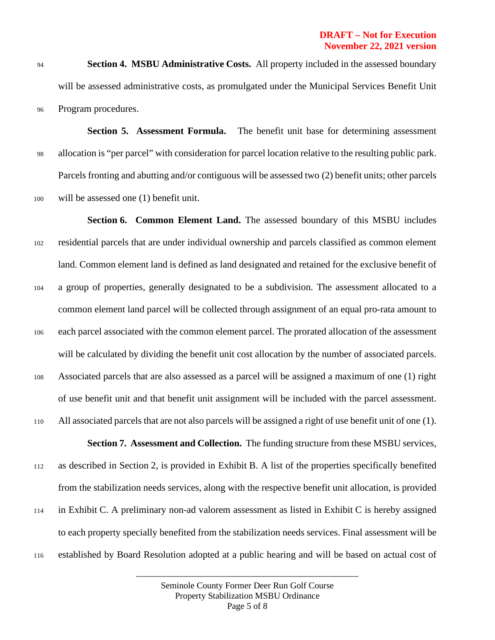<sup>94</sup> **Section 4. MSBU Administrative Costs.** All property included in the assessed boundary will be assessed administrative costs, as promulgated under the Municipal Services Benefit Unit <sup>96</sup> Program procedures.

**Section 5. Assessment Formula.** The benefit unit base for determining assessment <sup>98</sup> allocation is "per parcel" with consideration for parcel location relative to the resulting public park. Parcels fronting and abutting and/or contiguous will be assessed two (2) benefit units; other parcels <sup>100</sup> will be assessed one (1) benefit unit.

**Section 6. Common Element Land.** The assessed boundary of this MSBU includes <sup>102</sup> residential parcels that are under individual ownership and parcels classified as common element land. Common element land is defined as land designated and retained for the exclusive benefit of <sup>104</sup> a group of properties, generally designated to be a subdivision. The assessment allocated to a common element land parcel will be collected through assignment of an equal pro-rata amount to <sup>106</sup> each parcel associated with the common element parcel. The prorated allocation of the assessment will be calculated by dividing the benefit unit cost allocation by the number of associated parcels. <sup>108</sup> Associated parcels that are also assessed as a parcel will be assigned a maximum of one (1) right of use benefit unit and that benefit unit assignment will be included with the parcel assessment. <sup>110</sup> All associated parcels that are not also parcels will be assigned a right of use benefit unit of one (1). **Section 7. Assessment and Collection.** The funding structure from these MSBU services, <sup>112</sup> as described in Section 2, is provided in Exhibit B. A list of the properties specifically benefited

<sup>114</sup> in Exhibit C. A preliminary non-ad valorem assessment as listed in Exhibit C is hereby assigned to each property specially benefited from the stabilization needs services. Final assessment will be <sup>116</sup> established by Board Resolution adopted at a public hearing and will be based on actual cost of

> Seminole County Former Deer Run Golf Course Property Stabilization MSBU Ordinance Page 5 of 8

\_\_\_\_\_\_\_\_\_\_\_\_\_\_\_\_\_\_\_\_\_\_\_\_\_\_\_\_\_\_\_\_\_\_\_\_\_\_\_\_\_\_\_\_\_\_\_\_\_\_

from the stabilization needs services, along with the respective benefit unit allocation, is provided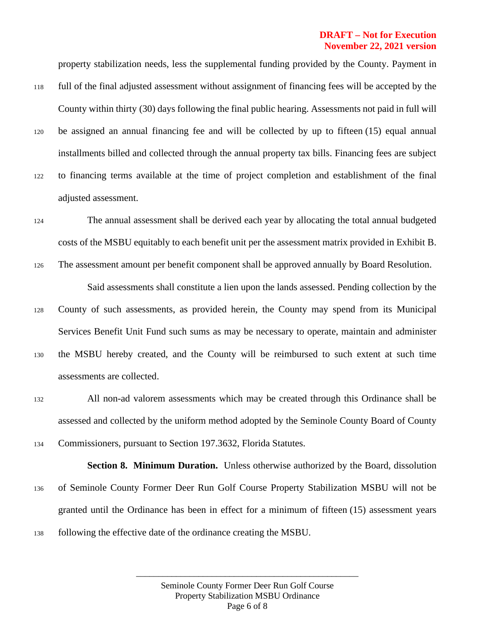### **DRAFT – Not for Execution November 22, 2021 version**

property stabilization needs, less the supplemental funding provided by the County. Payment in

- <sup>118</sup> full of the final adjusted assessment without assignment of financing fees will be accepted by the County within thirty (30) days following the final public hearing. Assessments not paid in full will
- <sup>120</sup> be assigned an annual financing fee and will be collected by up to fifteen (15) equal annual installments billed and collected through the annual property tax bills. Financing fees are subject
- <sup>122</sup> to financing terms available at the time of project completion and establishment of the final adjusted assessment.
- <sup>124</sup> The annual assessment shall be derived each year by allocating the total annual budgeted costs of the MSBU equitably to each benefit unit per the assessment matrix provided in Exhibit B.
- <sup>126</sup> The assessment amount per benefit component shall be approved annually by Board Resolution. Said assessments shall constitute a lien upon the lands assessed. Pending collection by the
- <sup>128</sup> County of such assessments, as provided herein, the County may spend from its Municipal Services Benefit Unit Fund such sums as may be necessary to operate, maintain and administer <sup>130</sup> the MSBU hereby created, and the County will be reimbursed to such extent at such time

assessments are collected.

<sup>132</sup> All non-ad valorem assessments which may be created through this Ordinance shall be assessed and collected by the uniform method adopted by the Seminole County Board of County <sup>134</sup> Commissioners, pursuant to Section 197.3632, Florida Statutes.

**Section 8. Minimum Duration.** Unless otherwise authorized by the Board, dissolution <sup>136</sup> of Seminole County Former Deer Run Golf Course Property Stabilization MSBU will not be granted until the Ordinance has been in effect for a minimum of fifteen (15) assessment years <sup>138</sup> following the effective date of the ordinance creating the MSBU.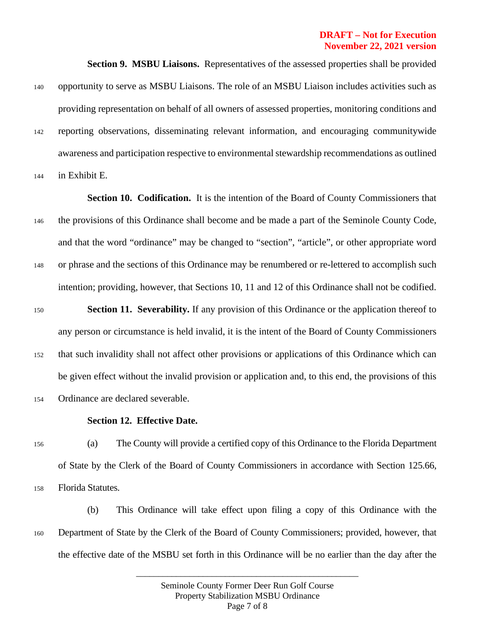### **DRAFT – Not for Execution November 22, 2021 version**

**Section 9. MSBU Liaisons.** Representatives of the assessed properties shall be provided <sup>140</sup> opportunity to serve as MSBU Liaisons. The role of an MSBU Liaison includes activities such as providing representation on behalf of all owners of assessed properties, monitoring conditions and <sup>142</sup> reporting observations, disseminating relevant information, and encouraging communitywide awareness and participation respective to environmental stewardship recommendations as outlined

<sup>144</sup> in Exhibit E.

**Section 10. Codification.** It is the intention of the Board of County Commissioners that <sup>146</sup> the provisions of this Ordinance shall become and be made a part of the Seminole County Code, and that the word "ordinance" may be changed to "section", "article", or other appropriate word <sup>148</sup> or phrase and the sections of this Ordinance may be renumbered or re-lettered to accomplish such intention; providing, however, that Sections 10, 11 and 12 of this Ordinance shall not be codified.

<sup>150</sup> **Section 11. Severability.** If any provision of this Ordinance or the application thereof to any person or circumstance is held invalid, it is the intent of the Board of County Commissioners <sup>152</sup> that such invalidity shall not affect other provisions or applications of this Ordinance which can be given effect without the invalid provision or application and, to this end, the provisions of this <sup>154</sup> Ordinance are declared severable.

#### **Section 12. Effective Date.**

<sup>156</sup> (a) The County will provide a certified copy of this Ordinance to the Florida Department of State by the Clerk of the Board of County Commissioners in accordance with Section 125.66, <sup>158</sup> Florida Statutes.

(b) This Ordinance will take effect upon filing a copy of this Ordinance with the <sup>160</sup> Department of State by the Clerk of the Board of County Commissioners; provided, however, that the effective date of the MSBU set forth in this Ordinance will be no earlier than the day after the